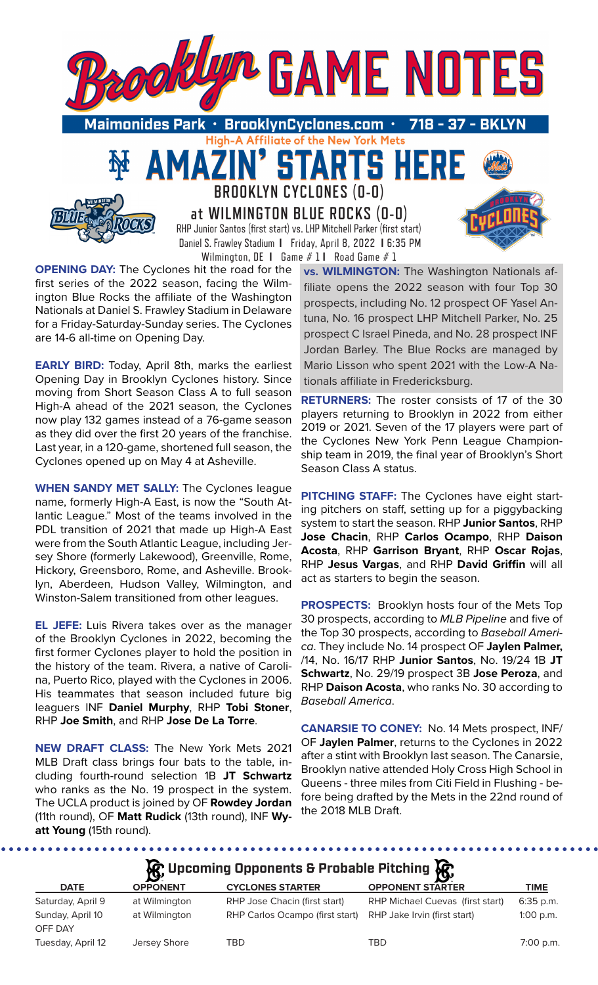

**at WILMINGTON BLUE ROCKS (0-0)** RHP Junior Santos (first start) vs. LHP Mitchell Parker (first start) Daniel S. Frawley Stadium **I** Friday, April 8, 2022 **I** 6:35 PM Wilmington, DE **I** Game # 1 **I** Road Game # 1

**OPENING DAY:** The Cyclones hit the road for the first series of the 2022 season, facing the Wilmington Blue Rocks the affiliate of the Washington Nationals at Daniel S. Frawley Stadium in Delaware for a Friday-Saturday-Sunday series. The Cyclones are 14-6 all-time on Opening Day.

**EARLY BIRD:** Today, April 8th, marks the earliest Opening Day in Brooklyn Cyclones history. Since moving from Short Season Class A to full season High-A ahead of the 2021 season, the Cyclones now play 132 games instead of a 76-game season as they did over the first 20 years of the franchise. Last year, in a 120-game, shortened full season, the Cyclones opened up on May 4 at Asheville.

**WHEN SANDY MET SALLY:** The Cyclones league name, formerly High-A East, is now the "South Atlantic League." Most of the teams involved in the PDL transition of 2021 that made up High-A East were from the South Atlantic League, including Jersey Shore (formerly Lakewood), Greenville, Rome, Hickory, Greensboro, Rome, and Asheville. Brooklyn, Aberdeen, Hudson Valley, Wilmington, and Winston-Salem transitioned from other leagues.

**EL JEFE:** Luis Rivera takes over as the manager of the Brooklyn Cyclones in 2022, becoming the first former Cyclones player to hold the position in the history of the team. Rivera, a native of Carolina, Puerto Rico, played with the Cyclones in 2006. His teammates that season included future big leaguers INF **Daniel Murphy**, RHP **Tobi Stoner**, RHP **Joe Smith**, and RHP **Jose De La Torre**.

**NEW DRAFT CLASS:** The New York Mets 2021 MLB Draft class brings four bats to the table, including fourth-round selection 1B **JT Schwartz** who ranks as the No. 19 prospect in the system. The UCLA product is joined by OF **Rowdey Jordan**  (11th round), OF **Matt Rudick** (13th round), INF **Wyatt Young** (15th round).

........

**vs. WILMINGTON:** The Washington Nationals affiliate opens the 2022 season with four Top 30 prospects, including No. 12 prospect OF Yasel Antuna, No. 16 prospect LHP Mitchell Parker, No. 25 prospect C Israel Pineda, and No. 28 prospect INF Jordan Barley. The Blue Rocks are managed by Mario Lisson who spent 2021 with the Low-A Nationals affiliate in Fredericksburg.

**RETURNERS:** The roster consists of 17 of the 30 players returning to Brooklyn in 2022 from either 2019 or 2021. Seven of the 17 players were part of the Cyclones New York Penn League Championship team in 2019, the final year of Brooklyn's Short Season Class A status.

**PITCHING STAFF:** The Cyclones have eight starting pitchers on staff, setting up for a piggybacking system to start the season. RHP **Junior Santos**, RHP **Jose Chacin**, RHP **Carlos Ocampo**, RHP **Daison Acosta**, RHP **Garrison Bryant**, RHP **Oscar Rojas**, RHP **Jesus Vargas**, and RHP **David Griffin** will all act as starters to begin the season.

**PROSPECTS:** Brooklyn hosts four of the Mets Top 30 prospects, according to *MLB Pipeline* and five of the Top 30 prospects, according to *Baseball America*. They include No. 14 prospect OF **Jaylen Palmer,** /14, No. 16/17 RHP **Junior Santos**, No. 19/24 1B **JT Schwartz**, No. 29/19 prospect 3B **Jose Peroza**, and RHP **Daison Acosta**, who ranks No. 30 according to *Baseball America*.

**CANARSIE TO CONEY:** No. 14 Mets prospect, INF/ OF **Jaylen Palmer**, returns to the Cyclones in 2022 after a stint with Brooklyn last season. The Canarsie, Brooklyn native attended Holy Cross High School in Queens - three miles from Citi Field in Flushing - before being drafted by the Mets in the 22nd round of the 2018 MLB Draft.

# **A**: Upcoming Opponents & Probable Pitching **A**

| <b>DATE</b>       | $\mathbf{r}$<br><b>OPPONENT</b> | <b>CYCLONES STARTER</b>         | ΣУ.<br><b>OPPONENT STARTER</b>   | <b>TIME</b> |
|-------------------|---------------------------------|---------------------------------|----------------------------------|-------------|
| Saturday, April 9 | at Wilmington                   | RHP Jose Chacin (first start)   | RHP Michael Cuevas (first start) | $6:35$ p.m. |
| Sunday, April 10  | at Wilmington                   | RHP Carlos Ocampo (first start) | RHP Jake Irvin (first start)     | $1:00$ p.m. |
| OFF DAY           |                                 |                                 |                                  |             |
| Tuesday, April 12 | Jersey Shore                    | TBD                             | TBD                              | 7:00 p.m.   |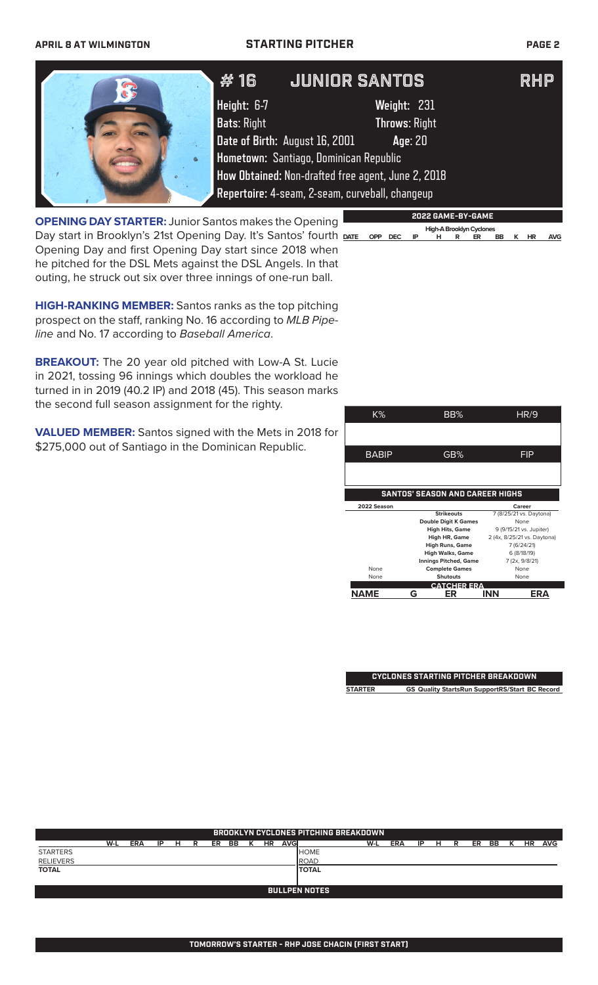### **APRIL 8 AT WILMINGTON STARTING PITCHER PAGE 2**

|           | # 16                              | <b>JUNIOR SANTOS</b>                                                                                                                                                                         | RHP |
|-----------|-----------------------------------|----------------------------------------------------------------------------------------------------------------------------------------------------------------------------------------------|-----|
|           | Height: 6-7<br><b>Bats: Right</b> | Weight: 231<br><b>Throws: Right</b>                                                                                                                                                          |     |
| $\bullet$ |                                   | Date of Birth: August 16, 2001<br>Age: 20<br>Hometown: Santiago, Dominican Republic<br>How Obtained: Non-drafted free agent, June 2, 2018<br>Repertoire: 4-seam, 2-seam, curveball, changeup |     |

**OPENING DAY STARTER:** Junior Santos makes the Opening Day start in Brooklyn's 21st Opening Day. It's Santos' fourth DATE OPP DEC Opening Day and first Opening Day start since 2018 when he pitched for the DSL Mets against the DSL Angels. In that outing, he struck out six over three innings of one-run ball.

**HIGH-RANKING MEMBER:** Santos ranks as the top pitching prospect on the staff, ranking No. 16 according to *MLB Pipeline* and No. 17 according to *Baseball America*.

**BREAKOUT:** The 20 year old pitched with Low-A St. Lucie in 2021, tossing 96 innings which doubles the workload he turned in in 2019 (40.2 IP) and 2018 (45). This season marks the second full season assignment for the righty.

**VALUED MEMBER:** Santos signed with the Mets in 2018 for \$275,000 out of Santiago in the Dominican Republic.

| K%                                     | BB%                          | HR/9                        |  |  |  |
|----------------------------------------|------------------------------|-----------------------------|--|--|--|
|                                        |                              |                             |  |  |  |
| <b>BABIP</b>                           | GB%                          | FIP                         |  |  |  |
|                                        |                              |                             |  |  |  |
| <b>SANTOS' SEASON AND CAREER HIGHS</b> |                              |                             |  |  |  |
| 2022 Season                            |                              | Career                      |  |  |  |
|                                        | <b>Strikeouts</b>            | 7 (8/25/21 vs. Daytona)     |  |  |  |
|                                        | Double Digit K Games         | None                        |  |  |  |
|                                        | High Hits, Game              | 9 (9/15/21 vs. Jupiter)     |  |  |  |
|                                        | High HR, Game                | 2 (4x, 8/25/21 vs. Daytona) |  |  |  |
|                                        | <b>High Runs, Game</b>       | 7 (6/24/21)                 |  |  |  |
|                                        | <b>High Walks, Game</b>      | 6 (8/18/19)                 |  |  |  |
|                                        | <b>Innings Pitched, Game</b> | 7 (2x, 9/8/21)              |  |  |  |
| None                                   | <b>Complete Games</b>        | None                        |  |  |  |
| None                                   | <b>Shutouts</b>              | None                        |  |  |  |
|                                        | <b>CATCHER ERA</b>           |                             |  |  |  |
| NAME                                   | ER<br>G                      | <b>INN</b><br>ER.           |  |  |  |

**2022 GAME-BY-GAME**

**High-A Brooklyn Cyclones<br>
IP** HR ER

**DATE OPP DEC IP H R ER BB K HR AVG**

**CYCLONES STARTING PITCHER BREAKDOWN STARTER GS Quality StartsRun SupportRS/Start BC Record**

| <b>BROOKLYN CYCLONES PITCHING BREAKDOWN</b> |     |            |    |   |   |    |    |   |    |             |              |     |            |    |   |   |    |    |   |    |            |
|---------------------------------------------|-----|------------|----|---|---|----|----|---|----|-------------|--------------|-----|------------|----|---|---|----|----|---|----|------------|
|                                             | W-L | <b>ERA</b> | IP | н | R | ER | BB | к | HR | <b>AVGI</b> |              | W-L | <b>ERA</b> | IP | н | R | ER | BB | к | HR | <b>AVG</b> |
| <b>STARTERS</b>                             |     |            |    |   |   |    |    |   |    |             | <b>HOME</b>  |     |            |    |   |   |    |    |   |    |            |
| <b>RELIEVERS</b>                            |     |            |    |   |   |    |    |   |    |             | ROAD         |     |            |    |   |   |    |    |   |    |            |
| <b>TOTAL</b>                                |     |            |    |   |   |    |    |   |    |             | <b>TOTAL</b> |     |            |    |   |   |    |    |   |    |            |
|                                             |     |            |    |   |   |    |    |   |    |             |              |     |            |    |   |   |    |    |   |    |            |
| <b>BULLPEN NOTES</b>                        |     |            |    |   |   |    |    |   |    |             |              |     |            |    |   |   |    |    |   |    |            |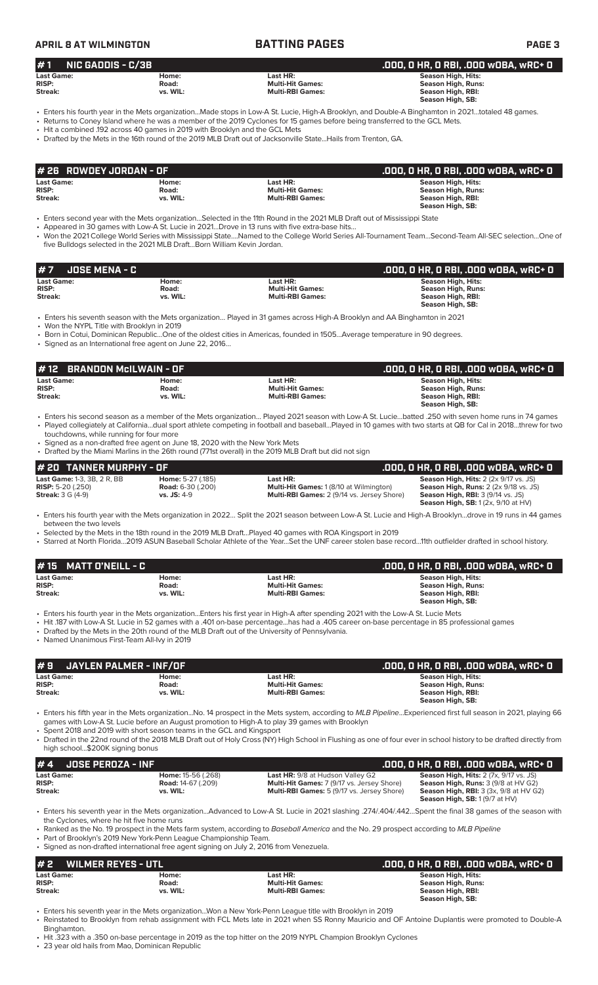## **APRIL 8 AT WILMINGTON BATTING PAGES PAGE 3**

| $#1$ NIC GADDIS - C/3B |          |                         | .000. 0 HR. 0 RBI. .000 w0BA. wRC+ 0                                                                                                                |
|------------------------|----------|-------------------------|-----------------------------------------------------------------------------------------------------------------------------------------------------|
| <b>Last Game:</b>      | Home:    | Last HR:                | <b>Season High, Hits:</b>                                                                                                                           |
| <b>RISP:</b>           | Road:    | <b>Multi-Hit Games:</b> | Season High, Runs:                                                                                                                                  |
| Streak:                | vs. WIL: | <b>Multi-RBI Games:</b> | Season High, RBI:                                                                                                                                   |
|                        |          |                         | Season High, SB:                                                                                                                                    |
|                        |          |                         | . Entere bis fourth vear in the Mate erappization, Made stape in Law A St. Lucie High A Prooblyn, and Double A Pinghamton in 2021, totaled 49 games |

• Enters his fourth year in the Mets organization...Made stops in Low-A St. Lucie, High-A Brooklyn, and Double-A Binghamton in 2021…totaled 48 games. • Returns to Coney Island where he was a member of the 2019 Cyclones for 15 games before being transferred to the GCL Mets.

• Hit a combined .192 across 40 games in 2019 with Brooklyn and the GCL Mets

• Drafted by the Mets in the 16th round of the 2019 MLB Draft out of Jacksonville State...Hails from Trenton, GA.

| # 26   ROWDEY JORDAN - OF |          |                         | .000. 0 HR. 0 RBI. .000 WOBA. wRC+ 0 |
|---------------------------|----------|-------------------------|--------------------------------------|
| <b>Last Game:</b>         | Home:    | Last HR:                | Season High, Hits:                   |
| <b>RISP:</b>              | Road:    | <b>Multi-Hit Games:</b> | Season High, Runs:                   |
| Streak:                   | vs. WIL: | <b>Multi-RBI Games:</b> | Season High, RBI:                    |
|                           |          |                         | Season High, SB:                     |

• Enters second year with the Mets organization…Selected in the 11th Round in the 2021 MLB Draft out of Mississippi State

Appeared in 30 games with Low-A St. Lucie in 2021...Drove in 13 runs with five extra-base hits.

• Won the 2021 College World Series with Mississippi State….Named to the College World Series All-Tournament Team…Second-Team All-SEC selection…One of five Bulldogs selected in the 2021 MLB Draft...Born William Kevin Jordan.

| #7<br>JOSE MENA - C                          |                            |                                                                | .000, 0 HR, 0 RBI, .000 w0BA, wRC+ 0                                              |
|----------------------------------------------|----------------------------|----------------------------------------------------------------|-----------------------------------------------------------------------------------|
| <b>Last Game:</b><br><b>RISP:</b><br>Streak: | Home:<br>Road:<br>vs. WIL: | Last HR:<br><b>Multi-Hit Games:</b><br><b>Multi-RBI Games:</b> | Season High, Hits:<br>Season High, Runs:<br>Season High, RBI:<br>Season High, SB: |

• Enters his seventh season with the Mets organization… Played in 31 games across High-A Brooklyn and AA Binghamton in 2021

• Won the NYPL Title with Brooklyn in 2019

• Born in Cotui, Dominican Republic…One of the oldest cities in Americas, founded in 1505…Average temperature in 90 degrees.

• Signed as an International free agent on June 22, 2016…

| $#$ 12 BRANDON McILWAIN - OF |          |                         | .000, 0 HR, 0 RBI, .000 w0BA, wRC+ 0 |
|------------------------------|----------|-------------------------|--------------------------------------|
| <b>Last Game:</b>            | Home:    | Last HR:                | <b>Season High, Hits:</b>            |
| <b>RISP:</b>                 | Road:    | <b>Multi-Hit Games:</b> | Season High, Runs:                   |
| Streak:                      | vs. WIL: | <b>Multi-RBI Games:</b> | Season High, RBI:                    |
|                              |          |                         | Season High, SB:                     |

- Enters his second season as a member of the Mets organization… Played 2021 season with Low-A St. Lucie…batted .250 with seven home runs in 74 games • Played collegiately at California…dual sport athlete competing in football and baseball…Played in 10 games with two starts at QB for Cal in 2018…threw for two touchdowns, while running for four more
- Signed as a non-drafted free agent on June 18, 2020 with the New York Mets

• Drafted by the Miami Marlins in the 26th round (771st overall) in the 2019 MLB Draft but did not sign

| # 20 TANNER MURPHY - OF            |                          |                                                   | . .000, 0 HR, 0 RBI, .000 w0BA, wRC+ 0 .                 |
|------------------------------------|--------------------------|---------------------------------------------------|----------------------------------------------------------|
| <b>Last Game: 1-3, 3B, 2 R, BB</b> | <b>Home: 5-27 (.185)</b> | Last HR:                                          | <b>Season High, Hits:</b> $2(2x\,9/17 \, \text{vs. JS})$ |
| <b>RISP:</b> 5-20 $(.250)$         | <b>Road: 6-30 (.200)</b> | <b>Multi-Hit Games: 1 (8/10 at Wilmington)</b>    | <b>Season High, Runs:</b> $2$ ( $2x$ $9/18$ vs. JS)      |
| <b>Streak:</b> 3 G (4-9)           | $vs.$ JS: 4-9            | <b>Multi-RBI Games: 2 (9/14 vs. Jersey Shore)</b> | <b>Season High, RBI: 3 (9/14 vs. JS)</b>                 |
|                                    |                          |                                                   | <b>Season High, SB:</b> $1(2x, 9/10$ at $HV$ )           |

• Enters his fourth year with the Mets organization in 2022… Split the 2021 season between Low-A St. Lucie and High-A Brooklyn…drove in 19 runs in 44 games between the two levels

• Selected by the Mets in the 18th round in the 2019 MLB Draft…Played 40 games with ROA Kingsport in 2019

• Starred at North Florida…2019 ASUN Baseball Scholar Athlete of the Year…Set the UNF career stolen base record…11th outfielder drafted in school history.

| $#15$ MATT D'NEILL - C |          |                         | .000, 0 HR, 0 RBI, .000 w0BA, wRC+ 0 |
|------------------------|----------|-------------------------|--------------------------------------|
| <b>Last Game:</b>      | Home:    | Last HR:                | Season High, Hits:                   |
| <b>RISP:</b>           | Road:    | <b>Multi-Hit Games:</b> | Season High, Runs:                   |
| Streak:                | vs. WIL: | <b>Multi-RBI Games:</b> | Season High, RBI:                    |
|                        |          |                         | Season High, SB:                     |

• Enters his fourth year in the Mets organization...Enters his first year in High-A after spending 2021 with the Low-A St. Lucie Mets

• Hit .187 with Low-A St. Lucie in 52 games with a .401 on-base percentage...has had a .405 career on-base percentage in 85 professional games

• Drafted by the Mets in the 20th round of the MLB Draft out of the University of Pennsylvania.

• Named Unanimous First-Team All-Ivy in 2019

| #9                | JAYLEN PALMER - INF/OF |                         | .000. 0 HR. 0 RBI. .000 w0BA. wRC+ 0 |
|-------------------|------------------------|-------------------------|--------------------------------------|
| <b>Last Game:</b> | Home:                  | Last HR:                | <b>Season High, Hits:</b>            |
| <b>RISP:</b>      | Road:                  | <b>Multi-Hit Games:</b> | Season High, Runs:                   |
| Streak:           | vs. WIL:               | <b>Multi-RBI Games:</b> | Season High, RBI:                    |
|                   |                        |                         | Season High, SB:                     |

• Enters his fifth year in the Mets organization...No. 14 prospect in the Mets system, according to *MLB Pipeline*...Experienced first full season in 2021, playing 66 games with Low-A St. Lucie before an August promotion to High-A to play 39 games with Brooklyn

• Spent 2018 and 2019 with short season teams in the GCL and Kingsport

• Drafted in the 22nd round of the 2018 MLB Draft out of Holy Cross (NY) High School in Flushing as one of four ever in school history to be drafted directly from high school...\$200K signing bonus

| $# 4$ JOSE PEROZA - INF |                           |                                                   | .000. 0 HR. 0 RBI. .000 w0BA. wRC+ 0                     |
|-------------------------|---------------------------|---------------------------------------------------|----------------------------------------------------------|
| <b>Last Game:</b>       | <b>Home: 15-56 (.268)</b> | Last HR: 9/8 at Hudson Valley G2                  | <b>Season High, Hits: 2 (7x, 9/17 vs. JS)</b>            |
| <b>RISP:</b>            | <b>Road: 14-67 (.209)</b> | <b>Multi-Hit Games: 7 (9/17 vs. Jersey Shore)</b> | <b>Season High, Runs: 3 (9/8 at HV G2)</b>               |
| Streak:                 | vs. WIL:                  | <b>Multi-RBI Games:</b> 5 (9/17 vs. Jersey Shore) | <b>Season High, RBI:</b> $3$ ( $3x$ , $9/8$ at HV $G2$ ) |
|                         |                           |                                                   | <b>Season High, SB:</b> $1(9/7$ at $HV$ )                |

• Enters his seventh year in the Mets organization...Advanced to Low-A St. Lucie in 2021 slashing .274/.404/.442…Spent the final 38 games of the season with the Cyclones, where he hit five home runs

• Ranked as the No. 19 prospect in the Mets farm system, according to *Baseball America* and the No. 29 prospect according to *MLB Pipeline*

• Part of Brooklyn's 2019 New York-Penn League Championship Team.

• Signed as non-drafted international free agent signing on July 2, 2016 from Venezuela.

| #2<br><b>WILMER REYES - UTL \</b>            |                            |                                                                | .000, 0 HR, 0 RBI, .000 w0BA, wRC+ 0                                              |
|----------------------------------------------|----------------------------|----------------------------------------------------------------|-----------------------------------------------------------------------------------|
| <b>Last Game:</b><br><b>RISP:</b><br>Streak: | Home:<br>Road:<br>vs. WIL: | Last HR:<br><b>Multi-Hit Games:</b><br><b>Multi-RBI Games:</b> | Season High, Hits:<br>Season High, Runs:<br>Season High, RBI:<br>Season High, SB: |
|                                              |                            | 도로 나는 그리고 그리고 나는 그리고 있는 그리고 그리고 있다. 그리고 그리고 그리고 그리고 아이스        |                                                                                   |

• Enters his seventh year in the Mets organization...Won a New York-Penn League title with Brooklyn in 2019 • Reinstated to Brooklyn from rehab assignment with FCL Mets late in 2021 when SS Ronny Mauricio and OF Antoine Duplantis were promoted to Double-A

Binghamton.

• Hit .323 with a .350 on-base percentage in 2019 as the top hitter on the 2019 NYPL Champion Brooklyn Cyclones

23 year old hails from Mao, Dominican Republic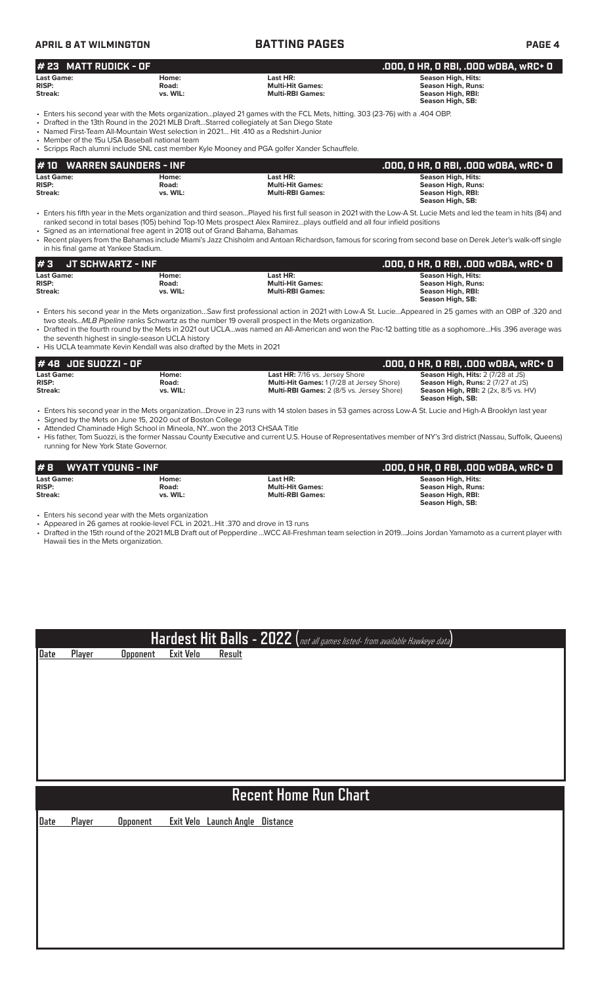| _________________________ | ___ _ … _ __ __ __ __ __ __ |  |               |  |
|---------------------------|-----------------------------|--|---------------|--|
| APRIL 8 AT WILMINGTON     | <b>BATTING PAGES</b>        |  | <b>PAGE 4</b> |  |

| $# 23$ MATT RUDICK - OF                                                                                                                                                                                                                                                                                                                                                                                                                                         |                            |                                                                | .000, 0 HR, 0 RBI, .000 w0BA, wRC+ 0                                                                          |  |  |
|-----------------------------------------------------------------------------------------------------------------------------------------------------------------------------------------------------------------------------------------------------------------------------------------------------------------------------------------------------------------------------------------------------------------------------------------------------------------|----------------------------|----------------------------------------------------------------|---------------------------------------------------------------------------------------------------------------|--|--|
| <b>Last Game:</b><br><b>RISP:</b><br>Streak:                                                                                                                                                                                                                                                                                                                                                                                                                    | Home:<br>Road:<br>vs. WIL: | Last HR:<br><b>Multi-Hit Games:</b><br><b>Multi-RBI Games:</b> | <b>Season High, Hits:</b><br><b>Season High, Runs:</b><br><b>Season High, RBI:</b><br><b>Season High, SB:</b> |  |  |
| • Enters his second year with the Mets organizationplayed 21 games with the FCL Mets, hitting. 303 (23-76) with a .404 OBP.<br>• Drafted in the 13th Round in the 2021 MLB DraftStarred collegiately at San Diego State<br>• Named First-Team All-Mountain West selection in 2021 Hit 410 as a Redshirt-Junior<br>• Member of the 15u USA Baseball national team<br>• Scripps Rach alumni include SNL cast member Kyle Mooney and PGA golfer Xander Schauffele. |                            |                                                                |                                                                                                               |  |  |
| <b>WARREN SAUNDERS - INF</b><br>l # 10                                                                                                                                                                                                                                                                                                                                                                                                                          |                            |                                                                | .000, 0 HR, 0 RBI, .000 w0BA, wRC+ 0                                                                          |  |  |
| <b>Last Game:</b><br><b>RISP:</b><br>Streak:                                                                                                                                                                                                                                                                                                                                                                                                                    | Home:<br>Road:<br>vs. WIL: | Last HR:<br><b>Multi-Hit Games:</b><br><b>Multi-RBI Games:</b> | <b>Season High, Hits:</b><br><b>Season High, Runs:</b><br><b>Season High, RBI:</b><br><b>Season High, SB:</b> |  |  |

• Enters his fifth year in the Mets organization and third season…Played his first full season in 2021 with the Low-A St. Lucie Mets and led the team in hits (84) and ranked second in total bases (105) behind Top-10 Mets prospect Alex Ramirez…plays outfield and all four infield positions

• Signed as an international free agent in 2018 out of Grand Bahama, Bahamas • Recent players from the Bahamas include Miami's Jazz Chisholm and Antoan Richardson, famous for scoring from second base on Derek Jeter's walk-off single in his final game at Yankee Stadium.

| #3<br><b>JT SCHWARTZ - INF</b> |          |                         | .000. 0 HR. 0 RBI. .000 WOBA. wRC+ 0 |
|--------------------------------|----------|-------------------------|--------------------------------------|
| <b>Last Game:</b>              | Home:    | Last HR:                | Season High, Hits:                   |
| <b>RISP:</b>                   | Road:    | <b>Multi-Hit Games:</b> | Season High, Runs:                   |
| Streak:                        | vs. WIL: | <b>Multi-RBI Games:</b> | Season High, RBI:                    |
|                                |          |                         | Season High, SB:                     |

• Enters his second year in the Mets organization…Saw first professional action in 2021 with Low-A St. Lucie…Appeared in 25 games with an OBP of .320 and two steals...*MLB Pipeline* ranks Schwartz as the number 19 overall prospect in the Mets organization.

• Drafted in the fourth round by the Mets in 2021 out UCLA…was named an All-American and won the Pac-12 batting title as a sophomore…His .396 average was the seventh highest in single-season UCLA history

• His UCLA teammate Kevin Kendall was also drafted by the Mets in 2021

| # 48 JOE SUOZZI - OF |          |                                                  | .000, 0 HR, 0 RBI, .000 w0BA, wRC+ 0        |
|----------------------|----------|--------------------------------------------------|---------------------------------------------|
| <b>Last Game:</b>    | Home:    | <b>Last HR: 7/16 vs. Jersey Shore</b>            | <b>Season High, Hits: 2 (7/28 at JS)</b>    |
| <b>RISP:</b>         | Road:    | <b>Multi-Hit Games: 1 (7/28 at Jersey Shore)</b> | <b>Season High, Runs: 2 (7/27 at JS)</b>    |
| Streak:              | vs. WIL: | <b>Multi-RBI Games:</b> 2 (8/5 vs. Jersey Shore) | <b>Season High, RBI:</b> 2 (2x, 8/5 vs. HV) |
|                      |          |                                                  | Season High, SB:                            |

• Enters his second year in the Mets organization...Drove in 23 runs with 14 stolen bases in 53 games across Low-A St. Lucie and High-A Brooklyn last year • Signed by the Mets on June 15, 2020 out of Boston College

• Attended Chaminade High School in Mineola, NY...won the 2013 CHSAA Title

• His father, Tom Suozzi, is the former Nassau County Executive and current U.S. House of Representatives member of NY's 3rd district (Nassau, Suffolk, Queens) running for New York State Governor.

| #8<br>WYATT YOUNG - INF |          |                         | .000, 0 HR, 0 RBI, .000 w0BA, wRC+ 0 |
|-------------------------|----------|-------------------------|--------------------------------------|
| <b>Last Game:</b>       | Home:    | Last HR:                | Season High, Hits:                   |
| <b>RISP:</b>            | Road:    | <b>Multi-Hit Games:</b> | <b>Season High, Runs:</b>            |
| Streak:                 | vs. WIL: | <b>Multi-RBI Games:</b> | Season High, RBI:                    |
|                         |          |                         | Season High, SB:                     |

• Enters his second year with the Mets organization

• Appeared in 26 games at rookie-level FCL in 2021…Hit .370 and drove in 13 runs

• Drafted in the 15th round of the 2021 MLB Draft out of Pepperdine …WCC All-Freshman team selection in 2019…Joins Jordan Yamamoto as a current player with Hawaii ties in the Mets organization.

# **Hardest Hit Balls - 2022 (**not all games listed- from available Hawkeye data**)**

**Date Player Opponent Exit Velo Result**

# **Recent Home Run Chart**

**Date Player Opponent Exit Velo Launch Angle Distance**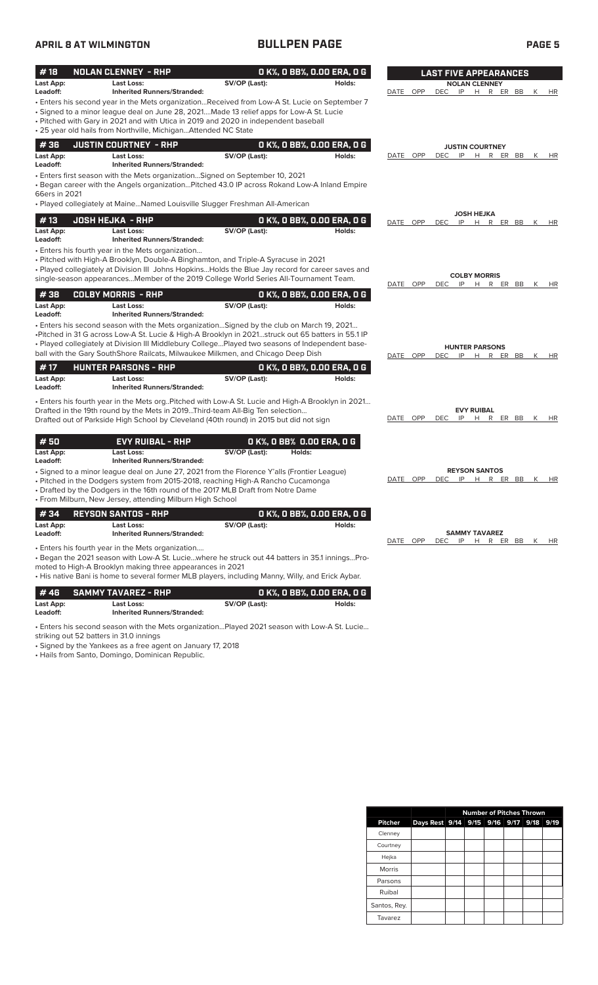## **APRIL 8 AT WILMINGTON BULLPEN PAGE PAGE 5**

| #18                          | <b>NOLAN CLENNEY - RHP</b>                                                                                                                                                                                                                                                                                                                                                            |               | O K%, O BB%, O.OO ERA, O G           | <b>LAST FIVE APPEARANCES</b>                                                        |
|------------------------------|---------------------------------------------------------------------------------------------------------------------------------------------------------------------------------------------------------------------------------------------------------------------------------------------------------------------------------------------------------------------------------------|---------------|--------------------------------------|-------------------------------------------------------------------------------------|
| Last App:<br>Leadoff:        | <b>Last Loss:</b><br><b>Inherited Runners/Stranded:</b>                                                                                                                                                                                                                                                                                                                               | SV/OP (Last): | Holds:                               | <b>NOLAN CLENNEY</b><br>DATE OPP<br><b>DEC</b><br>IP<br>H R ER BB<br>K<br><b>HR</b> |
|                              | Enters his second year in the Mets organizationReceived from Low-A St. Lucie on September 7<br>• Signed to a minor league deal on June 28, 2021Made 13 relief apps for Low-A St. Lucie<br>• Pitched with Gary in 2021 and with Utica in 2019 and 2020 in independent baseball<br>• 25 year old hails from Northville, Michigan Attended NC State                                      |               |                                      |                                                                                     |
| #36                          | <b>JUSTIN COURTNEY - RHP</b>                                                                                                                                                                                                                                                                                                                                                          |               | 0 K%, 0 BB%, 0.00 ERA, 0 G           | <b>JUSTIN COURTNEY</b>                                                              |
| Last App:<br>Leadoff:        | Last Loss:<br><b>Inherited Runners/Stranded:</b>                                                                                                                                                                                                                                                                                                                                      | SV/OP (Last): | Holds:                               | DATE OPP<br><b>DEC</b><br>IP<br>H R ER BB<br>K<br>HR                                |
| 66ers in 2021                | • Enters first season with the Mets organizationSigned on September 10, 2021<br>. Began career with the Angels organizationPitched 43.0 IP across Rokand Low-A Inland Empire<br>• Played collegiately at MaineNamed Louisville Slugger Freshman All-American                                                                                                                          |               |                                      |                                                                                     |
| #13                          | <b>JOSH HEJKA - RHP</b>                                                                                                                                                                                                                                                                                                                                                               |               | 0 K%, 0 BB%, 0.00 ERA, 0 G           | <b>JOSH HEJKA</b><br>DATE OPP<br><b>DEC</b><br>IP H R ER BB<br>K<br>HR              |
| Last App:<br>Leadoff:        | <b>Last Loss:</b><br><b>Inherited Runners/Stranded:</b>                                                                                                                                                                                                                                                                                                                               | SV/OP (Last): | Holds:                               |                                                                                     |
|                              | • Enters his fourth year in the Mets organization<br>• Pitched with High-A Brooklyn, Double-A Binghamton, and Triple-A Syracuse in 2021<br>• Played collegiately at Division III Johns HopkinsHolds the Blue Jay record for career saves and<br>single-season appearancesMember of the 2019 College World Series All-Tournament Team.                                                 |               |                                      | <b>COLBY MORRIS</b><br>DATE OPP<br><b>DEC</b><br>IP<br>H<br>R ER BB<br>К<br>HR      |
| #38                          | <b>COLBY MORRIS - RHP</b>                                                                                                                                                                                                                                                                                                                                                             |               | O K%, O BB%, O.OO ERA, O G           |                                                                                     |
| Last App:<br>Leadoff:        | <b>Last Loss:</b><br><b>Inherited Runners/Stranded:</b>                                                                                                                                                                                                                                                                                                                               | SV/OP (Last): | Holds:                               |                                                                                     |
|                              | . Enters his second season with the Mets organizationSigned by the club on March 19, 2021<br>-Pitched in 31 G across Low-A St. Lucie & High-A Brooklyn in 2021struck out 65 batters in 55.1 IP<br>. Played collegiately at Division III Middlebury CollegePlayed two seasons of Independent base-<br>ball with the Gary SouthShore Railcats, Milwaukee Milkmen, and Chicago Deep Dish |               |                                      | <b>HUNTER PARSONS</b><br>DATE OPP<br>DEC<br>IP<br>H R ER BB<br>K<br>HR              |
| #17                          | <b>HUNTER PARSONS - RHP</b>                                                                                                                                                                                                                                                                                                                                                           |               | 0 K%, 0 BB%, 0.00 ERA, 0 G           |                                                                                     |
| Last App:<br>Leadoff:        | Last Loss:<br><b>Inherited Runners/Stranded:</b>                                                                                                                                                                                                                                                                                                                                      | SV/OP (Last): | Holds:                               |                                                                                     |
|                              | . Enters his fourth year in the Mets org. Pitched with Low-A St. Lucie and High-A Brooklyn in 2021<br>Drafted in the 19th round by the Mets in 2019Third-team All-Big Ten selection<br>Drafted out of Parkside High School by Cleveland (40th round) in 2015 but did not sign                                                                                                         |               |                                      | <b>EVY RUIBAL</b><br>DATE OPP<br><b>DEC</b><br>IP<br>H R ER BB K<br>HR              |
| #50<br>Last App:<br>Leadoff: | <b>EVY RUIBAL - RHP</b><br><b>Last Loss:</b><br><b>Inherited Runners/Stranded:</b>                                                                                                                                                                                                                                                                                                    | SV/OP (Last): | O K%, O BB% 0.00 ERA, O G<br>Holds:  |                                                                                     |
|                              | • Signed to a minor league deal on June 27, 2021 from the Florence Y'alls (Frontier League)<br>• Pitched in the Dodgers system from 2015-2018, reaching High-A Rancho Cucamonga<br>• Drafted by the Dodgers in the 16th round of the 2017 MLB Draft from Notre Dame<br>• From Milburn, New Jersey, attending Milburn High School                                                      |               |                                      | <b>REYSON SANTOS</b><br>DATE OPP<br><b>DEC</b><br>IP<br>H R ER BB<br>К<br>HR        |
| #34                          | <b>REYSON SANTOS - RHP</b>                                                                                                                                                                                                                                                                                                                                                            |               | 0 K%, 0 BB%, 0.00 ERA, 0 G           |                                                                                     |
| Last App:<br>Leadoff:        | Last Loss:<br><b>Inherited Runners/Stranded:</b>                                                                                                                                                                                                                                                                                                                                      | SV/OP (Last): | Holds:                               | <b>SAMMY TAVAREZ</b>                                                                |
|                              | • Enters his fourth year in the Mets organization<br>• Began the 2021 season with Low-A St. Luciewhere he struck out 44 batters in 35.1 inningsPro-<br>moted to High-A Brooklyn making three appearances in 2021<br>• His native Bani is home to several former MLB players, including Manny, Willy, and Erick Aybar.                                                                 |               |                                      | DATE OPP<br><b>DEC</b><br>IP<br>H R ER BB K<br>HR                                   |
| #46<br>Last App:             | <b>SAMMY TAVAREZ - RHP</b><br><b>Last Loss:</b>                                                                                                                                                                                                                                                                                                                                       | SV/OP (Last): | 0 K%, 0 BB%, 0.00 ERA, 0 G<br>Holds: |                                                                                     |
| Leadoff:                     | <b>Inherited Runners/Stranded:</b>                                                                                                                                                                                                                                                                                                                                                    |               |                                      |                                                                                     |

• Enters his second season with the Mets organization…Played 2021 season with Low-A St. Lucie…

striking out 52 batters in 31.0 innings

• Signed by the Yankees as a free agent on January 17, 2018

• Hails from Santo, Domingo, Dominican Republic.

|               |                                         |  |  | <b>Number of Pitches Thrown</b> |  |
|---------------|-----------------------------------------|--|--|---------------------------------|--|
| Pitcher       | Days Rest 9/14 9/15 9/16 9/17 9/18 9/19 |  |  |                                 |  |
| Clenney       |                                         |  |  |                                 |  |
| Courtney      |                                         |  |  |                                 |  |
| Hejka         |                                         |  |  |                                 |  |
| <b>Morris</b> |                                         |  |  |                                 |  |
| Parsons       |                                         |  |  |                                 |  |
| Ruibal        |                                         |  |  |                                 |  |
| Santos, Rey.  |                                         |  |  |                                 |  |
| Tavarez       |                                         |  |  |                                 |  |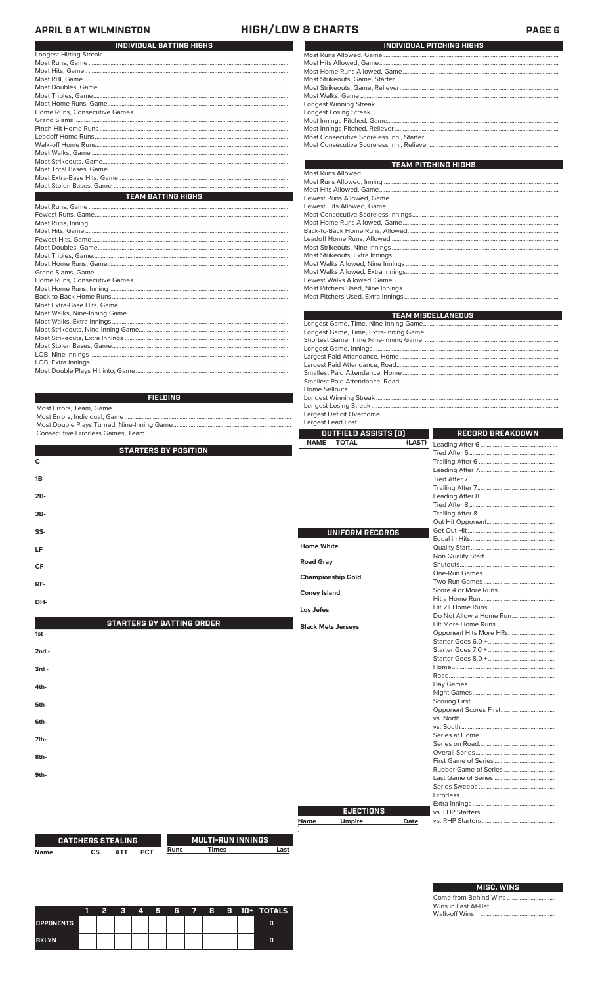### **APRIL 8 AT WILMINGTON**

Most Runs, Inning... Most Hits, Game. Fewest Hits, Game.......<br>Most Doubles, Game... 

### **HIGH/LOW & CHARTS**

| INDIVIDUAL BATTING HIGHS  |
|---------------------------|
|                           |
|                           |
|                           |
|                           |
|                           |
|                           |
|                           |
|                           |
|                           |
|                           |
|                           |
|                           |
|                           |
|                           |
|                           |
|                           |
|                           |
| <b>TEAM BATTING HIGHS</b> |
|                           |
|                           |
|                           |

| INDIVIDUAL PITCHING HIGHS |
|---------------------------|
|                           |
|                           |
|                           |
|                           |
|                           |
|                           |
|                           |
|                           |
|                           |
|                           |
|                           |
|                           |

| <b>TEAM PITCHING HIGHS</b>        |
|-----------------------------------|
|                                   |
|                                   |
|                                   |
|                                   |
|                                   |
|                                   |
|                                   |
|                                   |
|                                   |
|                                   |
|                                   |
|                                   |
|                                   |
|                                   |
|                                   |
| Most Pitchers LIsed Extra Innings |

|                 | <b>TEAM MISCELLANEOUS</b> |
|-----------------|---------------------------|
|                 |                           |
|                 |                           |
|                 |                           |
|                 |                           |
|                 |                           |
|                 |                           |
|                 |                           |
|                 |                           |
|                 |                           |
| <b>FIELDING</b> |                           |
|                 |                           |
|                 |                           |
|                 |                           |

| OUTFIELD ASSISTS [0]                 | RECORD BREAKDOWN  |
|--------------------------------------|-------------------|
| (LAST<br><b>NAME</b><br><b>TOTAL</b> | l aading Aftar 6. |

| <b>STARTERS BY POSITION</b>      |                           |                         |
|----------------------------------|---------------------------|-------------------------|
| $C -$                            |                           |                         |
|                                  |                           |                         |
| $1B -$                           |                           |                         |
|                                  |                           |                         |
| $2B-$                            |                           |                         |
|                                  |                           |                         |
| $3B-$                            |                           |                         |
|                                  |                           |                         |
| SS-                              | UNIFORM RECORDS           |                         |
|                                  |                           |                         |
| LF-                              | <b>Home White</b>         |                         |
|                                  |                           |                         |
| CF-                              | <b>Road Gray</b>          |                         |
|                                  | <b>Championship Gold</b>  |                         |
| RF-                              |                           |                         |
|                                  | <b>Coney Island</b>       |                         |
| DH-                              |                           |                         |
|                                  | Los Jefes                 |                         |
|                                  |                           | Do Not Allow a Home Run |
| <b>STARTERS BY BATTING ORDER</b> | <b>Black Mets Jerseys</b> |                         |
| $1st -$                          |                           | Opponent Hits More HRs  |
|                                  |                           |                         |
| $2nd -$                          |                           |                         |
|                                  |                           |                         |

| $3rd -$ |                        |
|---------|------------------------|
|         |                        |
| 4th-    | Day Games              |
|         | Night Games            |
| 5th-    | Scoring First          |
|         | Opponent Scores First  |
| 6th-    | vs. North              |
|         | vs. South              |
| 7th-    | Series at Home         |
|         | Series on Road         |
|         | Overall Series         |
| 8th-    | First Game of Series   |
|         | Rubber Game of Series. |
| 9th-    | Last Game of Series    |
|         | Series Sweeps          |
|         | Errorless              |
|         | Extra Innings          |

Last

|      |                  |      | First Game of Series  |
|------|------------------|------|-----------------------|
|      |                  |      | Rubber Game of Series |
|      |                  |      | Last Game of Series   |
|      |                  |      | Series Sweeps         |
|      |                  |      | Errorless             |
|      |                  |      | Extra Innings         |
|      | <b>EJECTIONS</b> |      | vs. LHP Starters      |
| Name | <b>Umpire</b>    | Date | vs. RHP Starters      |
|      |                  |      |                       |
|      |                  |      |                       |
|      |                  |      |                       |

| CAIGHERS STEALING |  |  |  |  |  |
|-------------------|--|--|--|--|--|
| Name              |  |  |  |  |  |

**MULTI-RUN INNINGS**  $\overline{\mathsf{uns}}$ Times

# MISC. WINS Come from Behind Wins...<br>Wins in Last At-Bat..............

Walk-off Wins

| <b>OPPONENTS</b> |  |  |  |  |  | O |
|------------------|--|--|--|--|--|---|
| <b>BKLYN</b>     |  |  |  |  |  |   |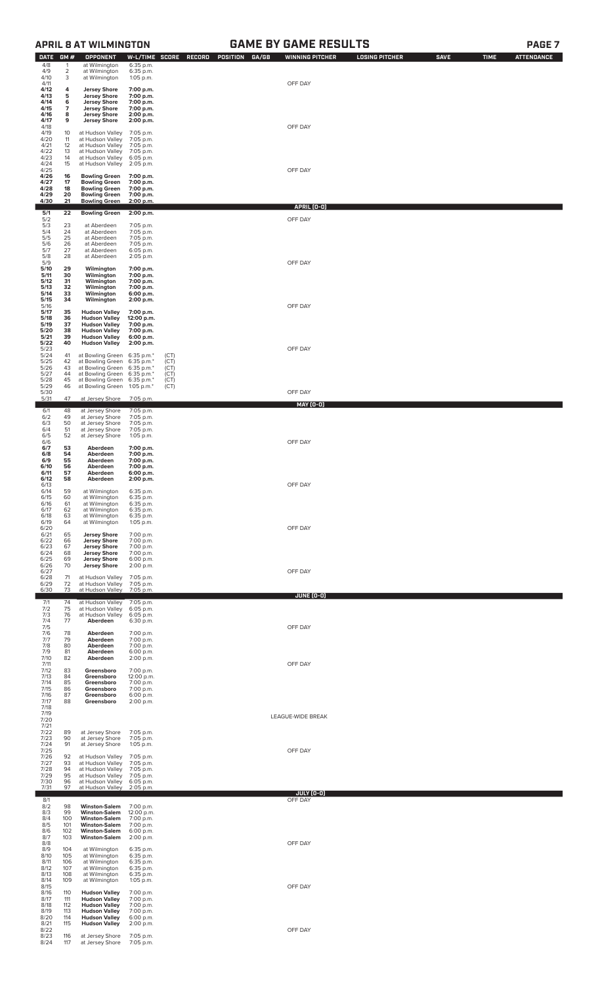## **DATE GM # OPPONENT W-L/TIME SCORE RECORD POSITION GA/GB WINNING PITCHER LOSING PITCHER SAVE TIME ATTENDANCE** 4/8 4/9 4/10 1 at Wilmington 6:35 p.m. 2 at Wilmington 6:35 p.m. 3 at Wilmington 1:05 p.m. 4/11 OFF DAY **4/12** 4 **Jersey Shore** 7:00 p.m.<br>
5 **Jersey Shore** 7:00 p.m.<br>
1 **Jersey Shore** 7:00 p.m.<br>
7 **Jersey Shore** 7:00 p.m.<br>
8 Jersey Shore 2:00 p.m.<br>
9 **Jersey Shore** 2:00 p.m. **4/13 4/14 4/15 4/16 4/17** 5 Jersey Shore 7:00 p.m.<br>6 Jersey Shore 7:00 p.m.<br>7 Jersey Shore 7:00 p.m.<br>8 Jersey Shore 2:00 p.m.<br>9 Jersey Shore 2:00 p.m. 4/18 OFF DAY 4/18<br>4/19 10 at Hudson Valley 7:05 p.m.<br>4/20 11 at Hudson Valley 7:05 p.m.<br>4/21 12 at Hudson Valley 7:05 p.m. 4/20 11 at Hudson Valley 7:05 p.m. 4/21 12 at Hudson Valley 7:05 p.m. 4/22 13 at Hudson Valley 7:05 p.m. 4/23 14 at Hudson Valley 6:05 p.m. 4/24 15 at Hudson Valley 2:05 p.m. 4/25 OFF DAY 4/26 16 Bowling Green 7:00 p.m.<br>4/27 17 Bowling Green 7:00 p.m.<br>4/28 18 Bowling Green 7:00 p.m.<br>4/29 20 Bowling Green 7:00 p.m.<br>4/30 21 Bowling Green 2:00 p.m. **APRIL (0-0) 5/1 22 Bowling Green 2:00 p.m.** 5/2 OFF DAY 5/3 23 at Aberdeen 7:05 p.m. 5/4 24 at Aberdeen 7:05 p.m. 5/5 25 at Aberdeen 7:05 p.m. 5/6 26 at Aberdeen 7:05 p.m. 5/7 27 at Aberdeen 6:05 p.m. 5/8 28 at Aberdeen 2:05 p.m. 5/9 OFF DAY **5/10 29 Wilmington 7:00 p.m. 5/11 30 Wilmington 7:00 p.m. 5/12 31 Wilmington 7:00 p.m. 5/13 32 Wilmington 7:00 p.m. 5/14 33 Wilmington 6:00 p.m.** 5/19 **32 Wilmington 7:00 p.m.**<br>
5/11 30 Wilmington 7:00 p.m.<br>
5/12 31 Wilmington 7:00 p.m.<br>
5/13 32 Wilmington 7:00 p.m.<br>
5/14 33 Wilmington 6:00 p.m.<br>
5/15 34 Wilmington 2:00 p.m.<br>
5/16 5<br>
5/16 5 Hudson Valley 7:00 p. 5/16<br>**5/17 35 Hudson Valley 7:00 p.m.**<br>**5/18 36 Hudson Valley 12:00 p.m.**<br>**5/19 37 Hudson Valley 7:00 p.m.**<br>**5/20 38 Hudson Valley 5:00 p.m.**<br>**5/21 39 Hudson Valley 6:00 p.m.** 5/16<br> **5/17** 35 Hudson Valley 7:00 p.m.<br> **5/18** 36 Hudson Valley 7:00 p.m.<br> **5/19** 37 Hudson Valley 7:00 p.m.<br> **5/20** 38 Hudson Valley 6:00 p.m.<br> **5/21** 39 Hudson Valley 6:00 p.m.<br> **5/22** 40 Hudson Valley 2:00 p.m. 5/23 41 at Bowling Green 6:35 p.m.\* (CT)<br>5/25 42 at Bowling Green 6:35 p.m.\* (CT)<br>5/26 43 at Bowling Green 6:35 p.m.\* (CT)<br>5/27 44 at Bowling Green 6:35 p.m.\* (CT)<br>5/29 46 at Bowling Green 6:35 p.m.\* (CT)<br>5/30 46 at Bowlin 5/31 47 at Jersey Shore 7:05 p.m. **MAY (0-0)** 6/1 48 at Jersey Shore 7:05 p.m. 6/2 49 at Jersey Shore 7:05 p.m. 6/3 50 at Jersey Shore 7:05 p.m. 6/4 51 at Jersey Shore 7:05 p.m. 6/5 52 at Jersey Shore 1:05 p.m. 6/6 OFF DAY 6/7 53 Aberdeen 7:00 p.m.<br>6/8 54 Aberdeen 7:00 p.m.<br>6/9 55 Aberdeen 7:00 p.m.<br>6/10 56 Aberdeen 6:00 p.m.<br>6/11 57 Aberdeen 6:00 p.m.<br>6/12 58 Aberdeen 2:00 p.m. 6/13 OFF DAY 6/8 54 Aberdeen 7:00 p.m.<br>6/10 55 Aberdeen 7:00 p.m.<br>6/10 56 Aberdeen 7:00 p.m.<br>6/11 57 Aberdeen 6:00 p.m.<br>6/12 58 Aberdeen 6:00 p.m.<br>6/13 at Wilmington 6:35 p.m.<br>6/15 60 at Wilmington 6:35 p.m.<br>6/16 61 at Wilmington 6:35 6/15 60 at Wilmington 6:35 p.m. 6/16 61 at Wilmington 6:35 p.m. 6/17 62 at Wilmington 6:35 p.m. 6/18 63 at Wilmington 6:35 p.m. 6/19 64 at Wilmington 1:05 p.m. 6/20 OFF DAY 6/21 65 **Jersey Shore** 7:00 p.m. 6/22 66 **Jersey Shore** 7:00 p.m. 6/23 67 **Jersey Shore** 7:00 p.m. 6/24 68 **Jersey Shore** 7:00 p.m. 6/25 69 **Jersey Shore** 6:00 p.m. 6/26 70 **Jersey Shore** 2:00 p.m. 6/27 OFF DAY 6/28 71 at Hudson Valley 7:05 p.m. 6/29 72 at Hudson Valley 7:05 p.m. 6/30 73 at Hudson Valley 7:05 p.m. **JUNE (0-0)** 7/1 74 at Hudson Valley 7:05 p.m. 7/2 75 at Hudson Valley 6:05 p.m. 7/3 76 at Hudson Valley 6:05 p.m. 7/4 77 **Aberdeen** 6:30 p.m. 7/5 OFF DAY 7/6 78 **Aberdeen** 7:00 p.m. 7/7 79 **Aberdeen** 7:00 p.m. 7/8 80 **Aberdeen** 7:00 p.m. 7/9 81 **Aberdeen** 6:00 p.m. 7/6 78 **Aberdeen** 7:00 p.m.<br>7/7 79 **Aberdeen** 7:00 p.m.<br>7/8 80 **Aberdeen** 7:00 p.m.<br>7/9 81 **Aberdeen** 6:00 p.m.<br>7/11 **82 Aberdeen** 2:00 p.m. 7/11 OFF DAY 7/12 83 **Greensboro** 7:00 p.m. 7/13 84 **Greensboro** 12:00 p.m. 7/14 85 **Greensboro** 7:00 p.m. 7/15 86 **Greensboro** 7:00 p.m. 7/16 87 **Greensboro** 6:00 p.m. 83 **Greensboro** 7:00 p.m.<br>84 **Greensboro** 12:00 p.m.<br>85 **Greensboro** 7:00 p.m.<br>86 **Greensboro** 6:00 p.m.<br>88 **Greensboro** 6:00 p.m.<br>87 **Greensboro** 2:00 p.m. 7/12<br>7/13<br>7/14<br>7/15<br>7/16<br>7/17<br>7/18 LEAGUE-WIDE BREAK 7/20 7/21 7/22 89 at Jersey Shore 7:05 p.m. 7/23 90 at Jersey Shore 7:05 p.m. 7/24 91 at Jersey Shore 1:05 p.m. 7/25 OFF DAY 7/26 92 at Hudson Valley 7:05 p.m. 7/27 93 at Hudson Valley 7:05 p.m. 7/28 94 at Hudson Valley 7:05 p.m. 7/29 95 at Hudson Valley 7:05 p.m. 7/30 96 at Hudson Valley 6:05 p.m. 7/31 97 at Hudson Valley 2:05 p.m. **JULY (0-0)** 8/1 OFF DAY 8/2 98 **Winston-Salem** 7:00 p.m. 8/3 99 **Winston-Salem** 12:00 p.m. 8/4 100 **Winston-Salem** 7:00 p.m. 8/5 101 **Winston-Salem** 7:00 p.m. 8/6 102 **Winston-Salem** 6:00 p.m. 8/7 103 **Winston-Salem** 2:00 p.m. 8/8 OFF DAY 8/9 104 at Wilmington 6:35 p.m. 8/10 105 at Wilmington 6:35 p.m. 8/11 106 at Wilmington 6:35 p.m. 8/12 107 at Wilmington 6:35 p.m. 8/13 108 at Wilmington 6:35 p.m. 8/14 109 at Wilmington 1:05 p.m. 8/15 OFF DAY 8/16 110 **Hudson Valley** 7:00 p.m. 8/17 111 **Hudson Valley** 7:00 p.m. 8/18 112 **Hudson Valley** 7:00 p.m. 8/19 113 **Hudson Valley** 7:00 p.m. 8/20 114 **Hudson Valley** 6:00 p.m. 8/21 115 **Hudson Valley** 2:00 p.m.

8/22 OFF DAY 8/23 116 at Jersey Shore 7:05 p.m. 8/24 117 at Jersey Shore 7:05 p.m.

**APRIL 8 AT WILMINGTON GAME BY GAME RESULTS PAGE 7**